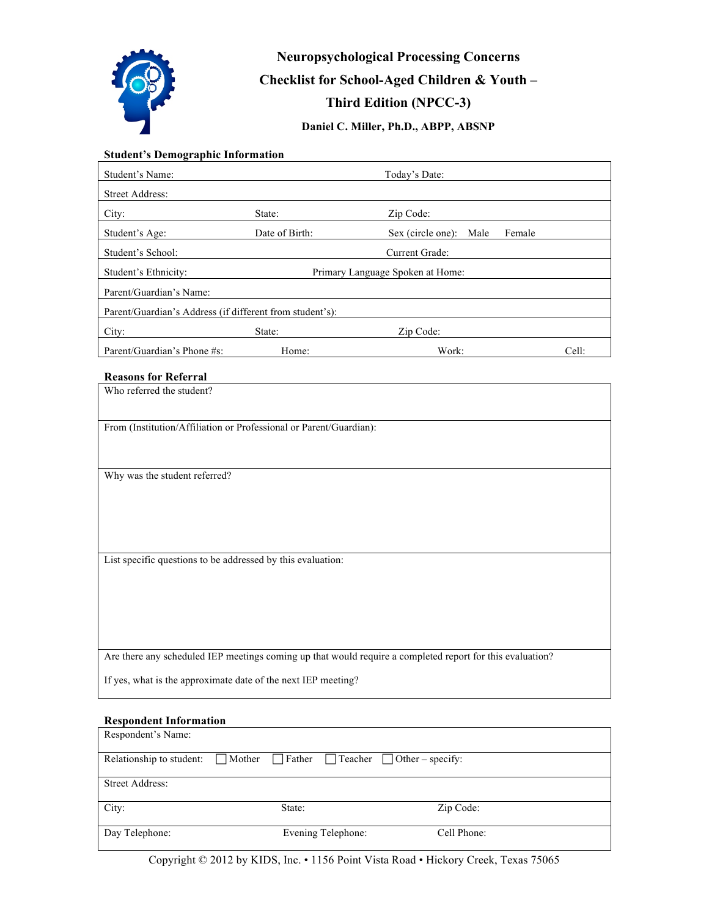

## **Neuropsychological Processing Concerns Checklist for School-Aged Children & Youth – Third Edition (NPCC-3) Daniel C. Miller, Ph.D., ABPP, ABSNP**

# **Student's Demographic Information**

| Student's Name:                                          | Today's Date:                    |                                     |       |  |  |
|----------------------------------------------------------|----------------------------------|-------------------------------------|-------|--|--|
| Street Address:                                          |                                  |                                     |       |  |  |
| City:                                                    | State:                           | Zip Code:                           |       |  |  |
| Student's Age:                                           | Date of Birth:                   | Female<br>Sex (circle one):<br>Male |       |  |  |
| Student's School:                                        |                                  | Current Grade:                      |       |  |  |
| Student's Ethnicity:                                     | Primary Language Spoken at Home: |                                     |       |  |  |
| Parent/Guardian's Name:                                  |                                  |                                     |       |  |  |
| Parent/Guardian's Address (if different from student's): |                                  |                                     |       |  |  |
| City:                                                    | State:                           | Zip Code:                           |       |  |  |
| Parent/Guardian's Phone #s:                              | Home:                            | Work:                               | Cell: |  |  |

### **Reasons for Referral**

| Who referred the student?                                                                                 |
|-----------------------------------------------------------------------------------------------------------|
| From (Institution/Affiliation or Professional or Parent/Guardian):                                        |
| Why was the student referred?                                                                             |
|                                                                                                           |
|                                                                                                           |
| List specific questions to be addressed by this evaluation:                                               |
|                                                                                                           |
|                                                                                                           |
|                                                                                                           |
| Are there any scheduled IEP meetings coming up that would require a completed report for this evaluation? |
| If yes, what is the approximate date of the next IEP meeting?                                             |

#### **Respondent Information**

| Respondent's Name:       |                    |                                        |  |
|--------------------------|--------------------|----------------------------------------|--|
| Relationship to student: | Mother<br>Father   | $\Box$ Teacher $\Box$ Other – specify: |  |
| Street Address:          |                    |                                        |  |
| City:                    | State:             | Zip Code:                              |  |
| Day Telephone:           | Evening Telephone: | Cell Phone:                            |  |

Copyright © 2012 by KIDS, Inc. • 1156 Point Vista Road • Hickory Creek, Texas 75065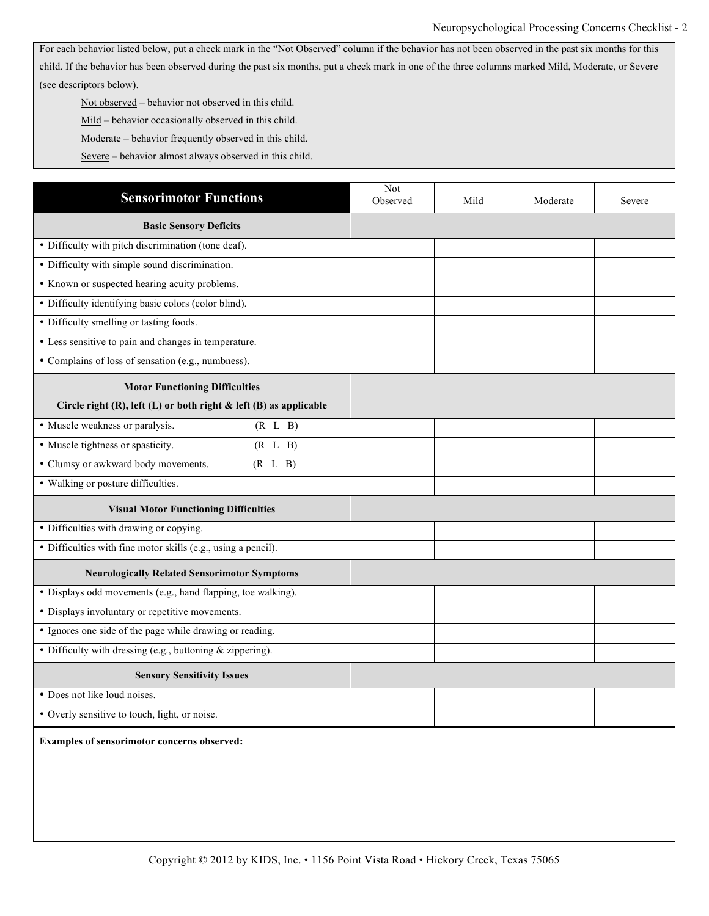For each behavior listed below, put a check mark in the "Not Observed" column if the behavior has not been observed in the past six months for this child. If the behavior has been observed during the past six months, put a check mark in one of the three columns marked Mild, Moderate, or Severe (see descriptors below).

Not observed – behavior not observed in this child.

Mild – behavior occasionally observed in this child.

Moderate – behavior frequently observed in this child.

Severe – behavior almost always observed in this child.

| <b>Sensorimotor Functions</b>                                            | Not<br>Observed | Mild | Moderate | Severe |
|--------------------------------------------------------------------------|-----------------|------|----------|--------|
| <b>Basic Sensory Deficits</b>                                            |                 |      |          |        |
| • Difficulty with pitch discrimination (tone deaf).                      |                 |      |          |        |
| • Difficulty with simple sound discrimination.                           |                 |      |          |        |
| • Known or suspected hearing acuity problems.                            |                 |      |          |        |
| • Difficulty identifying basic colors (color blind).                     |                 |      |          |        |
| • Difficulty smelling or tasting foods.                                  |                 |      |          |        |
| • Less sensitive to pain and changes in temperature.                     |                 |      |          |        |
| • Complains of loss of sensation (e.g., numbness).                       |                 |      |          |        |
| <b>Motor Functioning Difficulties</b>                                    |                 |      |          |        |
| Circle right $(R)$ , left $(L)$ or both right & left $(B)$ as applicable |                 |      |          |        |
| • Muscle weakness or paralysis.<br>(R L B)                               |                 |      |          |        |
| • Muscle tightness or spasticity.<br>(R L B)                             |                 |      |          |        |
| • Clumsy or awkward body movements.<br>(R L B)                           |                 |      |          |        |
| • Walking or posture difficulties.                                       |                 |      |          |        |
| <b>Visual Motor Functioning Difficulties</b>                             |                 |      |          |        |
| · Difficulties with drawing or copying.                                  |                 |      |          |        |
| • Difficulties with fine motor skills (e.g., using a pencil).            |                 |      |          |        |
| <b>Neurologically Related Sensorimotor Symptoms</b>                      |                 |      |          |        |
| • Displays odd movements (e.g., hand flapping, toe walking).             |                 |      |          |        |
| • Displays involuntary or repetitive movements.                          |                 |      |          |        |
| • Ignores one side of the page while drawing or reading.                 |                 |      |          |        |
| • Difficulty with dressing (e.g., buttoning $&$ zippering).              |                 |      |          |        |
| <b>Sensory Sensitivity Issues</b>                                        |                 |      |          |        |
| • Does not like loud noises.                                             |                 |      |          |        |
| • Overly sensitive to touch, light, or noise.                            |                 |      |          |        |
| Examples of sensorimotor concerns observed:                              |                 |      |          |        |
|                                                                          |                 |      |          |        |
|                                                                          |                 |      |          |        |
|                                                                          |                 |      |          |        |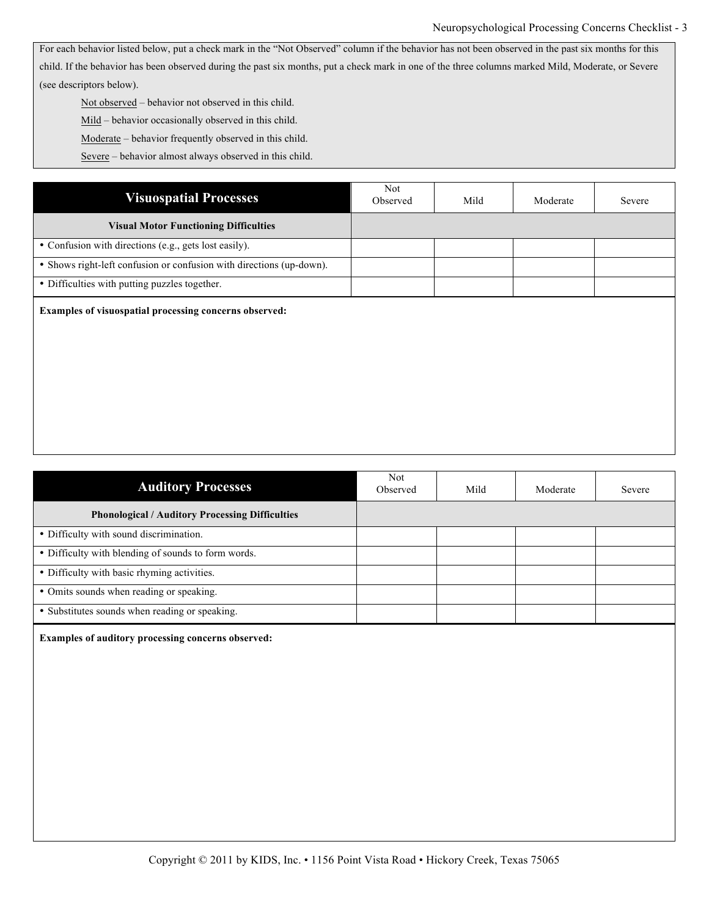For each behavior listed below, put a check mark in the "Not Observed" column if the behavior has not been observed in the past six months for this child. If the behavior has been observed during the past six months, put a check mark in one of the three columns marked Mild, Moderate, or Severe (see descriptors below).

Not observed – behavior not observed in this child.

Mild – behavior occasionally observed in this child.

Moderate – behavior frequently observed in this child.

Severe – behavior almost always observed in this child.

| <b>Visuospatial Processes</b>                                        | Not<br>Observed | Mild | Moderate | Severe |
|----------------------------------------------------------------------|-----------------|------|----------|--------|
| <b>Visual Motor Functioning Difficulties</b>                         |                 |      |          |        |
| • Confusion with directions (e.g., gets lost easily).                |                 |      |          |        |
| • Shows right-left confusion or confusion with directions (up-down). |                 |      |          |        |
| • Difficulties with putting puzzles together.                        |                 |      |          |        |
| Examples of visuospatial processing concerns observed:               |                 |      |          |        |
|                                                                      |                 |      |          |        |
|                                                                      |                 |      |          |        |
|                                                                      |                 |      |          |        |
|                                                                      |                 |      |          |        |

| <b>Auditory Processes</b>                              | <b>Not</b><br>Observed | Mild | Moderate | Severe |
|--------------------------------------------------------|------------------------|------|----------|--------|
| <b>Phonological / Auditory Processing Difficulties</b> |                        |      |          |        |
| • Difficulty with sound discrimination.                |                        |      |          |        |
| • Difficulty with blending of sounds to form words.    |                        |      |          |        |
| • Difficulty with basic rhyming activities.            |                        |      |          |        |
| • Omits sounds when reading or speaking.               |                        |      |          |        |
| • Substitutes sounds when reading or speaking.         |                        |      |          |        |

**Examples of auditory processing concerns observed:**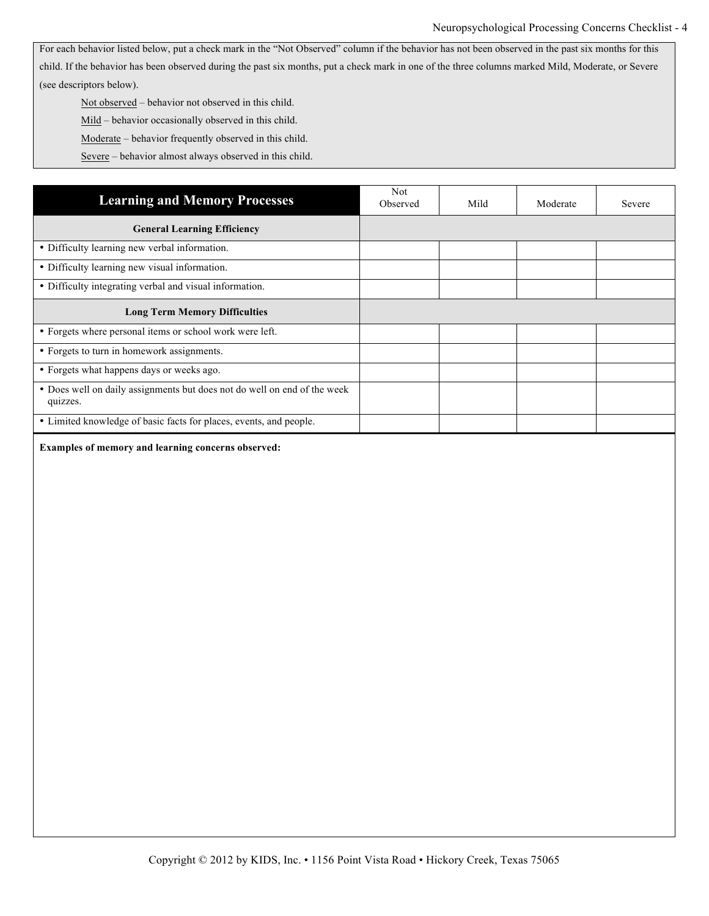For each behavior listed below, put a check mark in the "Not Observed" column if the behavior has not been observed in the past six months for this child. If the behavior has been observed during the past six months, put a check mark in one of the three columns marked Mild, Moderate, or Severe (see descriptors below).

Not observed – behavior not observed in this child.

Mild – behavior occasionally observed in this child.

Moderate – behavior frequently observed in this child.

Severe – behavior almost always observed in this child.

| <b>Learning and Memory Processes</b>                                                 | <b>Not</b><br>Observed | Mild | Moderate | Severe |
|--------------------------------------------------------------------------------------|------------------------|------|----------|--------|
| <b>General Learning Efficiency</b>                                                   |                        |      |          |        |
| • Difficulty learning new verbal information.                                        |                        |      |          |        |
| • Difficulty learning new visual information.                                        |                        |      |          |        |
| • Difficulty integrating verbal and visual information.                              |                        |      |          |        |
| <b>Long Term Memory Difficulties</b>                                                 |                        |      |          |        |
| • Forgets where personal items or school work were left.                             |                        |      |          |        |
| • Forgets to turn in homework assignments.                                           |                        |      |          |        |
| • Forgets what happens days or weeks ago.                                            |                        |      |          |        |
| • Does well on daily assignments but does not do well on end of the week<br>quizzes. |                        |      |          |        |
| • Limited knowledge of basic facts for places, events, and people.                   |                        |      |          |        |

**Examples of memory and learning concerns observed:**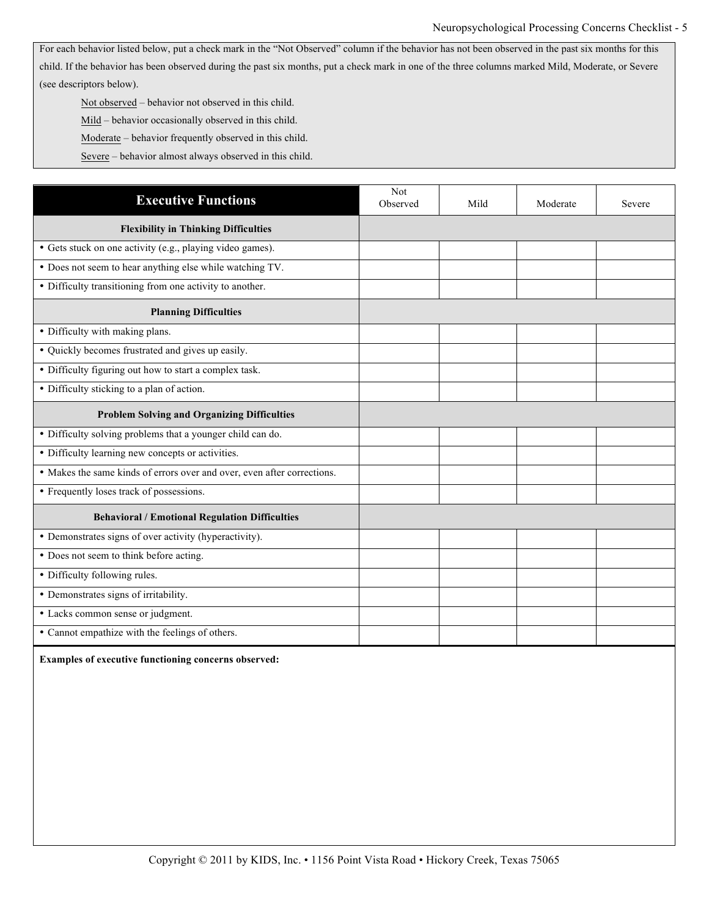For each behavior listed below, put a check mark in the "Not Observed" column if the behavior has not been observed in the past six months for this child. If the behavior has been observed during the past six months, put a check mark in one of the three columns marked Mild, Moderate, or Severe (see descriptors below).

Not observed – behavior not observed in this child.

Mild – behavior occasionally observed in this child.

Moderate – behavior frequently observed in this child.

Severe – behavior almost always observed in this child.

| <b>Executive Functions</b>                                              | Not<br>Observed | Mild | Moderate | Severe |
|-------------------------------------------------------------------------|-----------------|------|----------|--------|
| <b>Flexibility in Thinking Difficulties</b>                             |                 |      |          |        |
| • Gets stuck on one activity (e.g., playing video games).               |                 |      |          |        |
| • Does not seem to hear anything else while watching TV.                |                 |      |          |        |
| • Difficulty transitioning from one activity to another.                |                 |      |          |        |
| <b>Planning Difficulties</b>                                            |                 |      |          |        |
| · Difficulty with making plans.                                         |                 |      |          |        |
| • Quickly becomes frustrated and gives up easily.                       |                 |      |          |        |
| • Difficulty figuring out how to start a complex task.                  |                 |      |          |        |
| • Difficulty sticking to a plan of action.                              |                 |      |          |        |
| <b>Problem Solving and Organizing Difficulties</b>                      |                 |      |          |        |
| • Difficulty solving problems that a younger child can do.              |                 |      |          |        |
| • Difficulty learning new concepts or activities.                       |                 |      |          |        |
| • Makes the same kinds of errors over and over, even after corrections. |                 |      |          |        |
| • Frequently loses track of possessions.                                |                 |      |          |        |
| <b>Behavioral / Emotional Regulation Difficulties</b>                   |                 |      |          |        |
| • Demonstrates signs of over activity (hyperactivity).                  |                 |      |          |        |
| • Does not seem to think before acting.                                 |                 |      |          |        |
| • Difficulty following rules.                                           |                 |      |          |        |
| • Demonstrates signs of irritability.                                   |                 |      |          |        |
| • Lacks common sense or judgment.                                       |                 |      |          |        |
| • Cannot empathize with the feelings of others.                         |                 |      |          |        |

**Examples of executive functioning concerns observed:**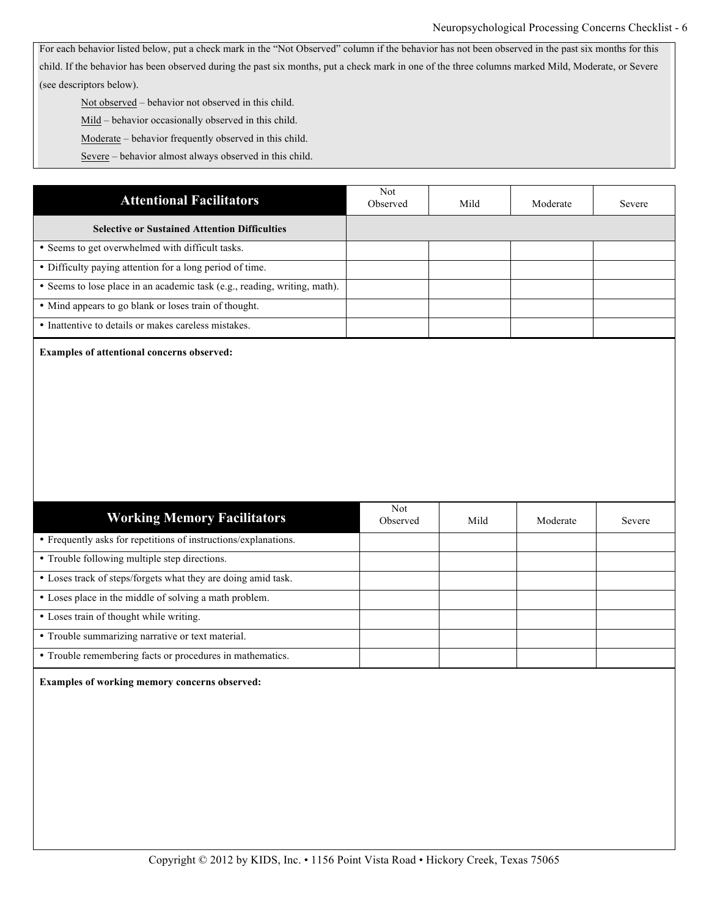For each behavior listed below, put a check mark in the "Not Observed" column if the behavior has not been observed in the past six months for this child. If the behavior has been observed during the past six months, put a check mark in one of the three columns marked Mild, Moderate, or Severe (see descriptors below).

Not observed – behavior not observed in this child.

Mild – behavior occasionally observed in this child.

Moderate – behavior frequently observed in this child.

Severe – behavior almost always observed in this child.

| <b>Attentional Facilitators</b>                                           | Not.<br>Observed | Mild | Moderate | Severe |
|---------------------------------------------------------------------------|------------------|------|----------|--------|
| <b>Selective or Sustained Attention Difficulties</b>                      |                  |      |          |        |
| • Seems to get overwhelmed with difficult tasks.                          |                  |      |          |        |
| • Difficulty paying attention for a long period of time.                  |                  |      |          |        |
| • Seems to lose place in an academic task (e.g., reading, writing, math). |                  |      |          |        |
| • Mind appears to go blank or loses train of thought.                     |                  |      |          |        |
| • Inattentive to details or makes careless mistakes.                      |                  |      |          |        |

**Examples of attentional concerns observed:** 

| <b>Working Memory Facilitators</b>                              | <b>Not</b><br>Observed | Mild | Moderate | Severe |
|-----------------------------------------------------------------|------------------------|------|----------|--------|
| • Frequently asks for repetitions of instructions/explanations. |                        |      |          |        |
| • Trouble following multiple step directions.                   |                        |      |          |        |
| • Loses track of steps/forgets what they are doing amid task.   |                        |      |          |        |
| • Loses place in the middle of solving a math problem.          |                        |      |          |        |
| • Loses train of thought while writing.                         |                        |      |          |        |
| • Trouble summarizing narrative or text material.               |                        |      |          |        |
| • Trouble remembering facts or procedures in mathematics.       |                        |      |          |        |

**Examples of working memory concerns observed:**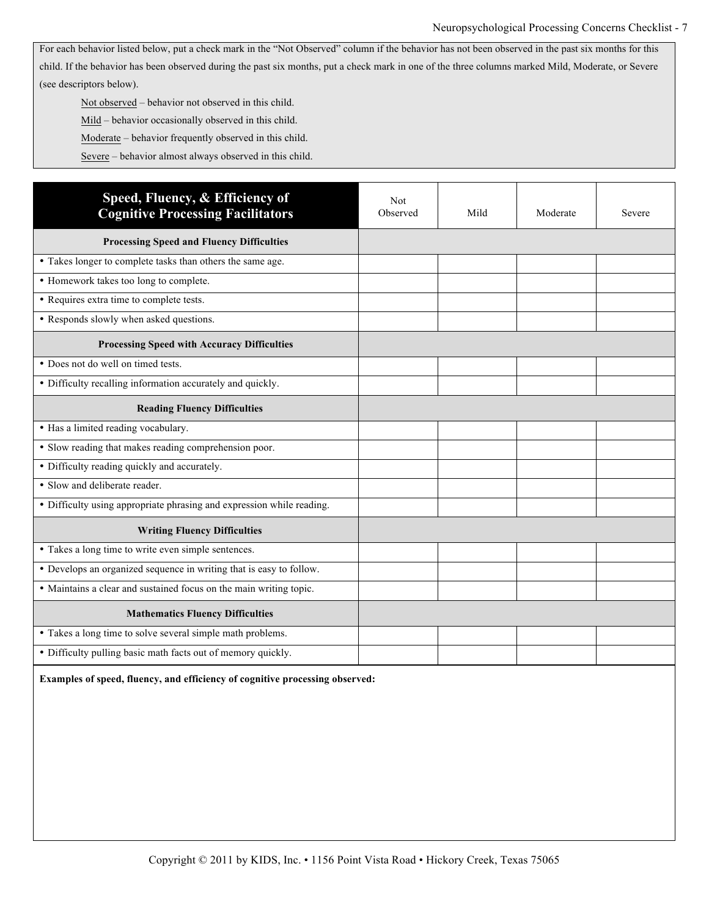Not observed – behavior not observed in this child.

Mild – behavior occasionally observed in this child.

Moderate – behavior frequently observed in this child.

Severe – behavior almost always observed in this child.

| Speed, Fluency, & Efficiency of<br><b>Cognitive Processing Facilitators</b> | Not<br>Observed | Mild | Moderate | Severe |
|-----------------------------------------------------------------------------|-----------------|------|----------|--------|
| <b>Processing Speed and Fluency Difficulties</b>                            |                 |      |          |        |
| • Takes longer to complete tasks than others the same age.                  |                 |      |          |        |
| • Homework takes too long to complete.                                      |                 |      |          |        |
| • Requires extra time to complete tests.                                    |                 |      |          |        |
| • Responds slowly when asked questions.                                     |                 |      |          |        |
| <b>Processing Speed with Accuracy Difficulties</b>                          |                 |      |          |        |
| • Does not do well on timed tests.                                          |                 |      |          |        |
| • Difficulty recalling information accurately and quickly.                  |                 |      |          |        |
| <b>Reading Fluency Difficulties</b>                                         |                 |      |          |        |
| • Has a limited reading vocabulary.                                         |                 |      |          |        |
| • Slow reading that makes reading comprehension poor.                       |                 |      |          |        |
| • Difficulty reading quickly and accurately.                                |                 |      |          |        |
| • Slow and deliberate reader.                                               |                 |      |          |        |
| · Difficulty using appropriate phrasing and expression while reading.       |                 |      |          |        |
| <b>Writing Fluency Difficulties</b>                                         |                 |      |          |        |
| • Takes a long time to write even simple sentences.                         |                 |      |          |        |
| • Develops an organized sequence in writing that is easy to follow.         |                 |      |          |        |
| • Maintains a clear and sustained focus on the main writing topic.          |                 |      |          |        |
| <b>Mathematics Fluency Difficulties</b>                                     |                 |      |          |        |
| • Takes a long time to solve several simple math problems.                  |                 |      |          |        |
| • Difficulty pulling basic math facts out of memory quickly.                |                 |      |          |        |

**Examples of speed, fluency, and efficiency of cognitive processing observed:**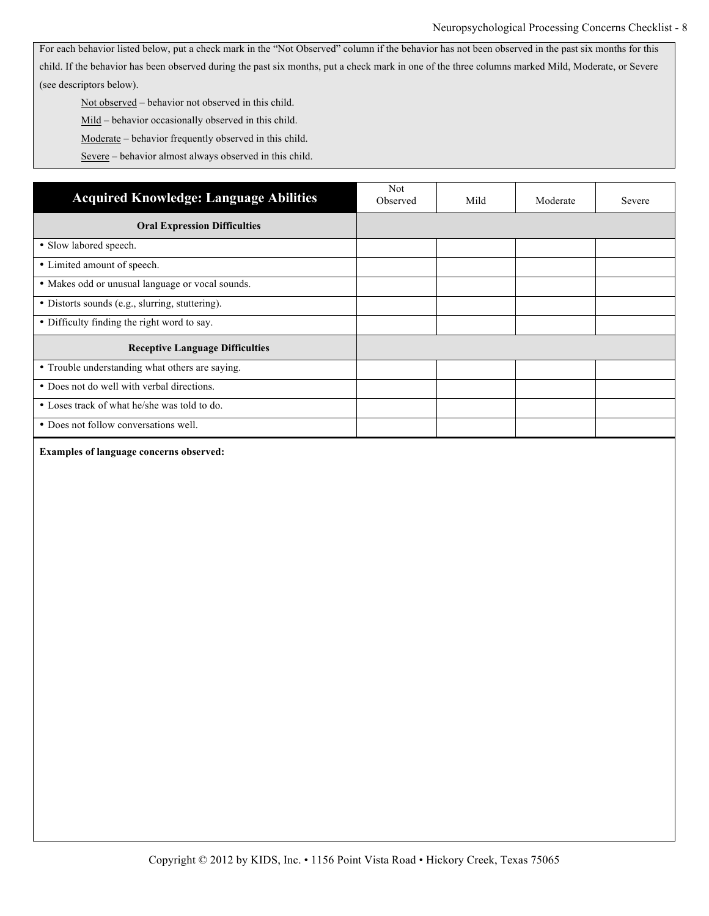For each behavior listed below, put a check mark in the "Not Observed" column if the behavior has not been observed in the past six months for this child. If the behavior has been observed during the past six months, put a check mark in one of the three columns marked Mild, Moderate, or Severe (see descriptors below).

Not observed – behavior not observed in this child.

Mild – behavior occasionally observed in this child.

Moderate – behavior frequently observed in this child.

Severe – behavior almost always observed in this child.

| <b>Acquired Knowledge: Language Abilities</b>    | Not<br>Observed | Mild | Moderate | Severe |
|--------------------------------------------------|-----------------|------|----------|--------|
| <b>Oral Expression Difficulties</b>              |                 |      |          |        |
| • Slow labored speech.                           |                 |      |          |        |
| • Limited amount of speech.                      |                 |      |          |        |
| • Makes odd or unusual language or vocal sounds. |                 |      |          |        |
| • Distorts sounds (e.g., slurring, stuttering).  |                 |      |          |        |
| • Difficulty finding the right word to say.      |                 |      |          |        |
| <b>Receptive Language Difficulties</b>           |                 |      |          |        |
| • Trouble understanding what others are saying.  |                 |      |          |        |
| • Does not do well with verbal directions.       |                 |      |          |        |
| • Loses track of what he/she was told to do.     |                 |      |          |        |
| • Does not follow conversations well.            |                 |      |          |        |

#### **Examples of language concerns observed:**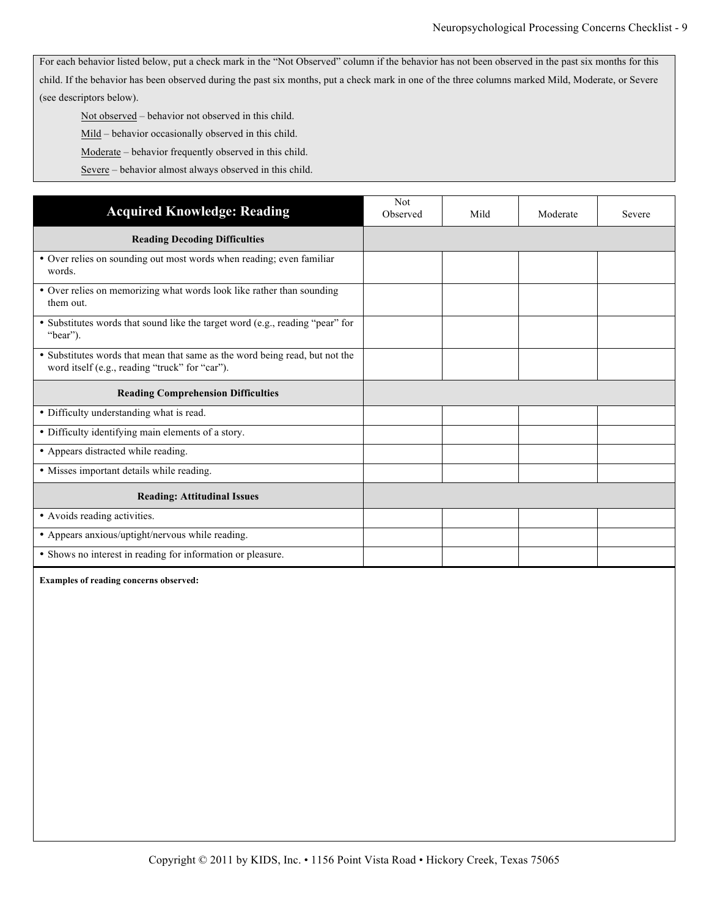Not observed – behavior not observed in this child.

Mild - behavior occasionally observed in this child.

Moderate – behavior frequently observed in this child.

Severe – behavior almost always observed in this child.

| <b>Acquired Knowledge: Reading</b>                                                                                            | <b>Not</b><br>Observed | Mild | Moderate | Severe |
|-------------------------------------------------------------------------------------------------------------------------------|------------------------|------|----------|--------|
| <b>Reading Decoding Difficulties</b>                                                                                          |                        |      |          |        |
| • Over relies on sounding out most words when reading; even familiar<br>words.                                                |                        |      |          |        |
| • Over relies on memorizing what words look like rather than sounding<br>them out.                                            |                        |      |          |        |
| • Substitutes words that sound like the target word (e.g., reading "pear" for<br>"bear").                                     |                        |      |          |        |
| • Substitutes words that mean that same as the word being read, but not the<br>word itself (e.g., reading "truck" for "car"). |                        |      |          |        |
| <b>Reading Comprehension Difficulties</b>                                                                                     |                        |      |          |        |
| • Difficulty understanding what is read.                                                                                      |                        |      |          |        |
|                                                                                                                               |                        |      |          |        |
| • Difficulty identifying main elements of a story.                                                                            |                        |      |          |        |
| • Appears distracted while reading.                                                                                           |                        |      |          |        |
| • Misses important details while reading.                                                                                     |                        |      |          |        |
| <b>Reading: Attitudinal Issues</b>                                                                                            |                        |      |          |        |
| • Avoids reading activities.                                                                                                  |                        |      |          |        |
| • Appears anxious/uptight/nervous while reading.                                                                              |                        |      |          |        |

**Examples of reading concerns observed:**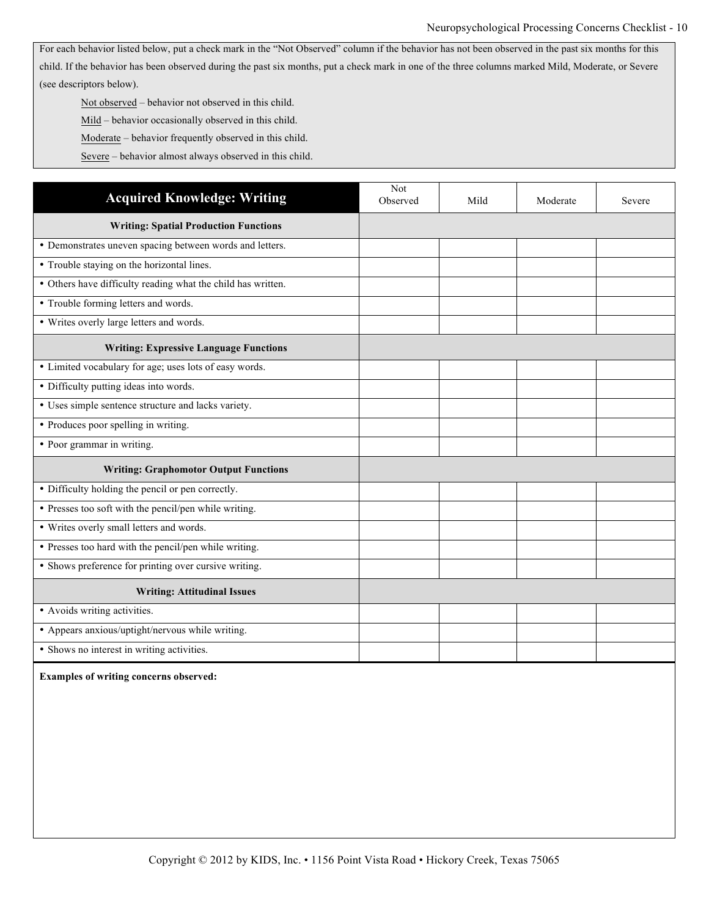Not observed – behavior not observed in this child.

Mild – behavior occasionally observed in this child.

Moderate – behavior frequently observed in this child.

Severe – behavior almost always observed in this child.

| <b>Acquired Knowledge: Writing</b>                           | Not<br>Observed | Mild | Moderate | Severe |
|--------------------------------------------------------------|-----------------|------|----------|--------|
| <b>Writing: Spatial Production Functions</b>                 |                 |      |          |        |
| • Demonstrates uneven spacing between words and letters.     |                 |      |          |        |
| • Trouble staying on the horizontal lines.                   |                 |      |          |        |
| • Others have difficulty reading what the child has written. |                 |      |          |        |
| • Trouble forming letters and words.                         |                 |      |          |        |
| • Writes overly large letters and words.                     |                 |      |          |        |
| <b>Writing: Expressive Language Functions</b>                |                 |      |          |        |
| • Limited vocabulary for age; uses lots of easy words.       |                 |      |          |        |
| • Difficulty putting ideas into words.                       |                 |      |          |        |
| • Uses simple sentence structure and lacks variety.          |                 |      |          |        |
| • Produces poor spelling in writing.                         |                 |      |          |        |
| • Poor grammar in writing.                                   |                 |      |          |        |
| <b>Writing: Graphomotor Output Functions</b>                 |                 |      |          |        |
| • Difficulty holding the pencil or pen correctly.            |                 |      |          |        |
| • Presses too soft with the pencil/pen while writing.        |                 |      |          |        |
| • Writes overly small letters and words.                     |                 |      |          |        |
| • Presses too hard with the pencil/pen while writing.        |                 |      |          |        |
| • Shows preference for printing over cursive writing.        |                 |      |          |        |
| <b>Writing: Attitudinal Issues</b>                           |                 |      |          |        |
| • Avoids writing activities.                                 |                 |      |          |        |
| • Appears anxious/uptight/nervous while writing.             |                 |      |          |        |
| • Shows no interest in writing activities.                   |                 |      |          |        |

**Examples of writing concerns observed:**